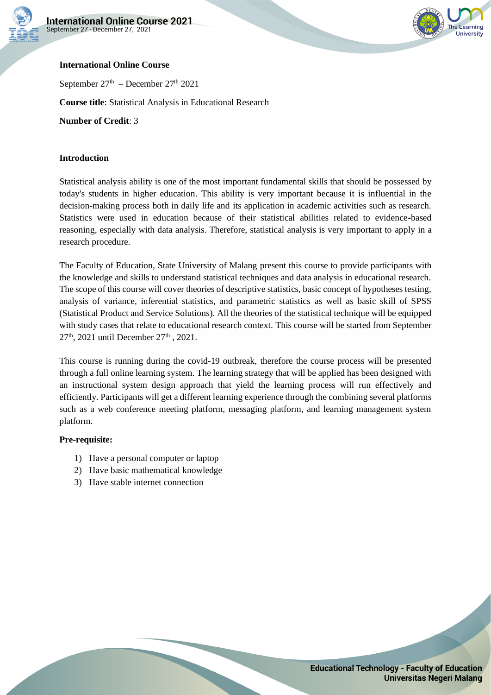



## **International Online Course**

September  $27<sup>th</sup>$  – December  $27<sup>th</sup>$  2021

**Course title**: Statistical Analysis in Educational Research

**Number of Credit**: 3

### **Introduction**

Statistical analysis ability is one of the most important fundamental skills that should be possessed by today's students in higher education. This ability is very important because it is influential in the decision-making process both in daily life and its application in academic activities such as research. Statistics were used in education because of their statistical abilities related to evidence-based reasoning, especially with data analysis. Therefore, statistical analysis is very important to apply in a research procedure.

The Faculty of Education, State University of Malang present this course to provide participants with the knowledge and skills to understand statistical techniques and data analysis in educational research. The scope of this course will cover theories of descriptive statistics, basic concept of hypotheses testing, analysis of variance, inferential statistics, and parametric statistics as well as basic skill of SPSS (Statistical Product and Service Solutions). All the theories of the statistical technique will be equipped with study cases that relate to educational research context. This course will be started from September 27<sup>th</sup>, 2021 until December 27<sup>th</sup>, 2021.

This course is running during the covid-19 outbreak, therefore the course process will be presented through a full online learning system. The learning strategy that will be applied has been designed with an instructional system design approach that yield the learning process will run effectively and efficiently. Participants will get a different learning experience through the combining several platforms such as a web conference meeting platform, messaging platform, and learning management system platform.

#### **Pre-requisite:**

- 1) Have a personal computer or laptop
- 2) Have basic mathematical knowledge
- 3) Have stable internet connection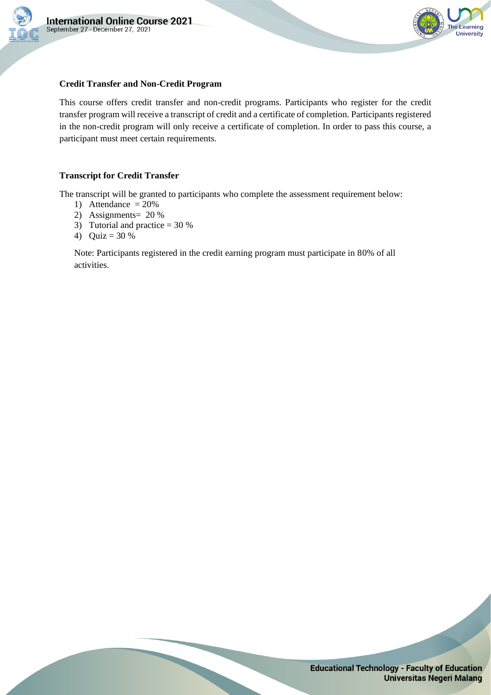



### **Credit Transfer and Non-Credit Program**

This course offers credit transfer and non-credit programs. Participants who register for the credit transfer program will receive a transcript of credit and a certificate of completion. Participants registered in the non-credit program will only receive a certificate of completion. In order to pass this course, a participant must meet certain requirements.

### **Transcript for Credit Transfer**

The transcript will be granted to participants who complete the assessment requirement below:

- 1) Attendance  $= 20\%$
- 2) Assignments= 20 %
- 3) Tutorial and practice  $= 30\%$
- 4) Quiz = 30 %

Note: Participants registered in the credit earning program must participate in 80% of all activities.

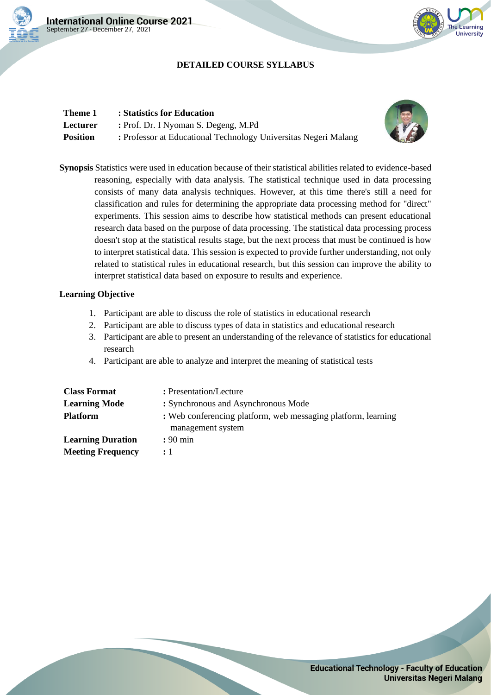

## **DETAILED COURSE SYLLABUS**

| Theme 1         | : Statistics for Education                                      |
|-----------------|-----------------------------------------------------------------|
| Lecturer        | : Prof. Dr. I Nyoman S. Degeng, M.Pd                            |
| <b>Position</b> | : Professor at Educational Technology Universitas Negeri Malang |



he Learning University

**Synopsis** Statistics were used in education because of their statistical abilities related to evidence-based reasoning, especially with data analysis. The statistical technique used in data processing consists of many data analysis techniques. However, at this time there's still a need for classification and rules for determining the appropriate data processing method for "direct" experiments. This session aims to describe how statistical methods can present educational research data based on the purpose of data processing. The statistical data processing process doesn't stop at the statistical results stage, but the next process that must be continued is how to interpret statistical data. This session is expected to provide further understanding, not only related to statistical rules in educational research, but this session can improve the ability to interpret statistical data based on exposure to results and experience.

- 1. Participant are able to discuss the role of statistics in educational research
- 2. Participant are able to discuss types of data in statistics and educational research
- 3. Participant are able to present an understanding of the relevance of statistics for educational research
- 4. Participant are able to analyze and interpret the meaning of statistical tests

| <b>Class Format</b>      | : Presentation/Lecture                                                             |
|--------------------------|------------------------------------------------------------------------------------|
| <b>Learning Mode</b>     | : Synchronous and Asynchronous Mode                                                |
| <b>Platform</b>          | : Web conferencing platform, web messaging platform, learning<br>management system |
| <b>Learning Duration</b> | $: 90 \text{ min}$                                                                 |
| <b>Meeting Frequency</b> | $\div$ 1                                                                           |

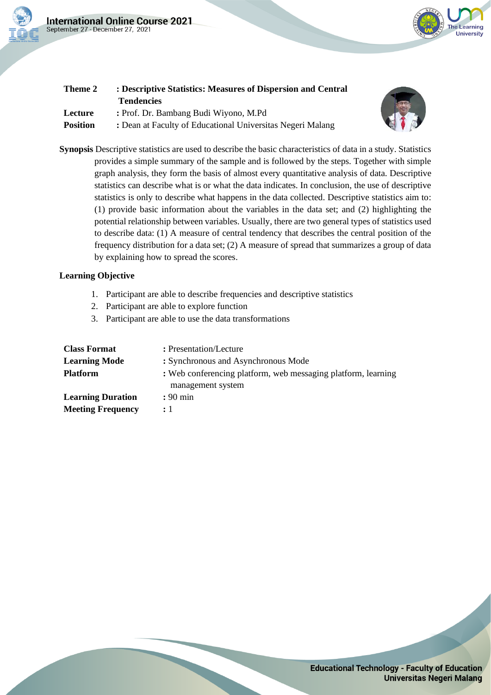



| Theme 2         | : Descriptive Statistics: Measures of Dispersion and Central |
|-----------------|--------------------------------------------------------------|
|                 | <b>Tendencies</b>                                            |
| Lecture         | : Prof. Dr. Bambang Budi Wiyono, M.Pd                        |
| <b>Position</b> | : Dean at Faculty of Educational Universitas Negeri Malang   |



**Synopsis** Descriptive statistics are used to describe the basic characteristics of data in a study. Statistics provides a simple summary of the sample and is followed by the steps. Together with simple graph analysis, they form the basis of almost every quantitative analysis of data. Descriptive statistics can describe what is or what the data indicates. In conclusion, the use of descriptive statistics is only to describe what happens in the data collected. Descriptive statistics aim to: (1) provide basic information about the variables in the data set; and (2) highlighting the potential relationship between variables. Usually, there are two general types of statistics used to describe data: (1) A measure of central tendency that describes the central position of the frequency distribution for a data set; (2) A measure of spread that summarizes a group of data by explaining how to spread the scores.

- 1. Participant are able to describe frequencies and descriptive statistics
- 2. Participant are able to explore function
- 3. Participant are able to use the data transformations

| <b>Class Format</b>      | : Presentation/Lecture                                                             |
|--------------------------|------------------------------------------------------------------------------------|
| <b>Learning Mode</b>     | : Synchronous and Asynchronous Mode                                                |
| <b>Platform</b>          | : Web conferencing platform, web messaging platform, learning<br>management system |
| <b>Learning Duration</b> | $: 90 \text{ min}$                                                                 |
| <b>Meeting Frequency</b> | $\cdot$ 1                                                                          |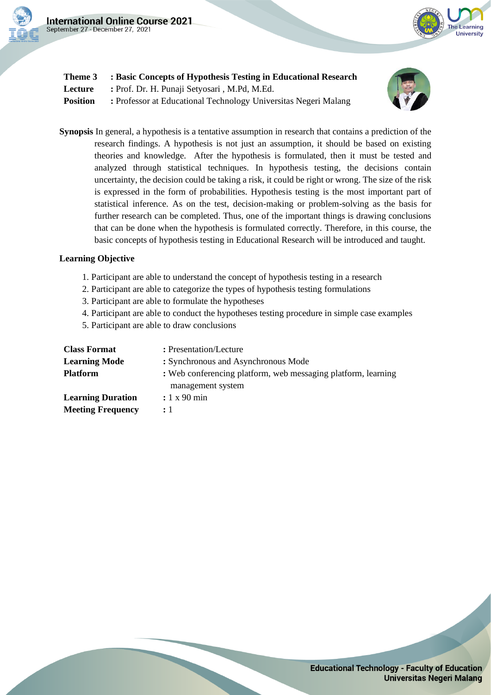



| Theme 3  | : Basic Concepts of Hypothesis Testing in Educational Research  |
|----------|-----------------------------------------------------------------|
| Lecture  | : Prof. Dr. H. Punaji Setyosari, M.Pd, M.Ed.                    |
| Position | : Professor at Educational Technology Universitas Negeri Malang |



**Synopsis** In general, a hypothesis is a tentative assumption in research that contains a prediction of the research findings. A hypothesis is not just an assumption, it should be based on existing theories and knowledge. After the hypothesis is formulated, then it must be tested and analyzed through statistical techniques. In hypothesis testing, the decisions contain uncertainty, the decision could be taking a risk, it could be right or wrong. The size of the risk is expressed in the form of probabilities. Hypothesis testing is the most important part of statistical inference. As on the test, decision-making or problem-solving as the basis for further research can be completed. Thus, one of the important things is drawing conclusions that can be done when the hypothesis is formulated correctly. Therefore, in this course, the basic concepts of hypothesis testing in Educational Research will be introduced and taught.

- 1. Participant are able to understand the concept of hypothesis testing in a research
- 2. Participant are able to categorize the types of hypothesis testing formulations
- 3. Participant are able to formulate the hypotheses
- 4. Participant are able to conduct the hypotheses testing procedure in simple case examples
- 5. Participant are able to draw conclusions

| <b>Class Format</b>      | : Presentation/Lecture                                                             |
|--------------------------|------------------------------------------------------------------------------------|
| <b>Learning Mode</b>     | : Synchronous and Asynchronous Mode                                                |
| <b>Platform</b>          | : Web conferencing platform, web messaging platform, learning<br>management system |
| <b>Learning Duration</b> | $: 1 x 90$ min                                                                     |
| <b>Meeting Frequency</b> | : 1                                                                                |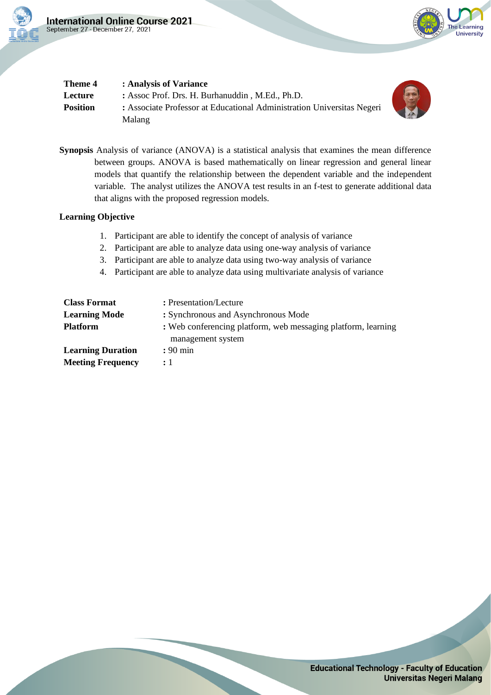



| Theme 4         | : Analysis of Variance                                                 |
|-----------------|------------------------------------------------------------------------|
| Lecture         | : Assoc Prof. Drs. H. Burhanuddin, M.Ed., Ph.D.                        |
| <b>Position</b> | : Associate Professor at Educational Administration Universitas Negeri |
|                 | Malang                                                                 |

**Synopsis** Analysis of variance (ANOVA) is a statistical analysis that examines the mean difference between groups. ANOVA is based mathematically on linear regression and general linear models that quantify the relationship between the dependent variable and the independent variable. The analyst utilizes the ANOVA test results in an f-test to generate additional data that aligns with the proposed regression models.

- 1. Participant are able to identify the concept of analysis of variance
- 2. Participant are able to analyze data using one-way analysis of variance
- 3. Participant are able to analyze data using two-way analysis of variance
- 4. Participant are able to analyze data using multivariate analysis of variance

| <b>Class Format</b>      | : Presentation/Lecture                                                             |
|--------------------------|------------------------------------------------------------------------------------|
| <b>Learning Mode</b>     | : Synchronous and Asynchronous Mode                                                |
| <b>Platform</b>          | : Web conferencing platform, web messaging platform, learning<br>management system |
| <b>Learning Duration</b> | $: 90 \text{ min}$                                                                 |
| <b>Meeting Frequency</b> | $\div$ 1                                                                           |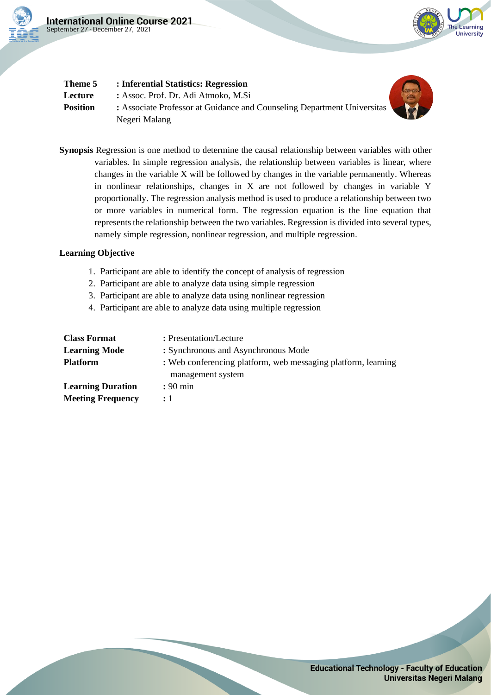



| Theme 5         | : Inferential Statistics: Regression                                                     |  |
|-----------------|------------------------------------------------------------------------------------------|--|
| Lecture         | : Assoc. Prof. Dr. Adi Atmoko, M.Si                                                      |  |
| <b>Position</b> | : Associate Professor at Guidance and Counseling Department Universitas<br>Negeri Malang |  |

**Synopsis** Regression is one method to determine the causal relationship between variables with other variables. In simple regression analysis, the relationship between variables is linear, where changes in the variable X will be followed by changes in the variable permanently. Whereas in nonlinear relationships, changes in X are not followed by changes in variable Y proportionally. The regression analysis method is used to produce a relationship between two or more variables in numerical form. The regression equation is the line equation that represents the relationship between the two variables. Regression is divided into several types, namely simple regression, nonlinear regression, and multiple regression.

- 1. Participant are able to identify the concept of analysis of regression
- 2. Participant are able to analyze data using simple regression
- 3. Participant are able to analyze data using nonlinear regression
- 4. Participant are able to analyze data using multiple regression

| <b>Class Format</b>      | : Presentation/Lecture                                                             |
|--------------------------|------------------------------------------------------------------------------------|
| <b>Learning Mode</b>     | : Synchronous and Asynchronous Mode                                                |
| <b>Platform</b>          | : Web conferencing platform, web messaging platform, learning<br>management system |
| <b>Learning Duration</b> | $: 90 \text{ min}$                                                                 |
| <b>Meeting Frequency</b> | $\cdot$ 1                                                                          |

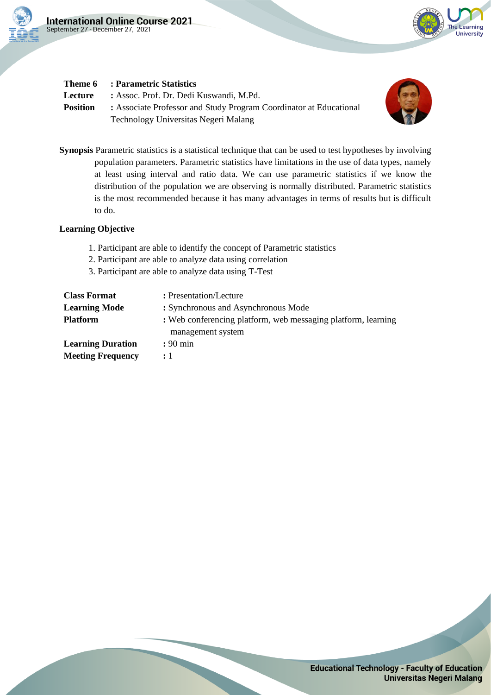



# **Theme 6 : Parametric Statistics**

**Lecture :** Assoc. Prof. Dr. Dedi Kuswandi, M.Pd. **Position** : Associate Professor and Study Program Coordinator at Educational Technology Universitas Negeri Malang



**Synopsis** Parametric statistics is a statistical technique that can be used to test hypotheses by involving population parameters. Parametric statistics have limitations in the use of data types, namely at least using interval and ratio data. We can use parametric statistics if we know the distribution of the population we are observing is normally distributed. Parametric statistics is the most recommended because it has many advantages in terms of results but is difficult to do.

- 1. Participant are able to identify the concept of Parametric statistics
- 2. Participant are able to analyze data using correlation
- 3. Participant are able to analyze data using T-Test

| <b>Class Format</b>      | : Presentation/Lecture                                                             |
|--------------------------|------------------------------------------------------------------------------------|
| <b>Learning Mode</b>     | : Synchronous and Asynchronous Mode                                                |
| <b>Platform</b>          | : Web conferencing platform, web messaging platform, learning<br>management system |
| <b>Learning Duration</b> | $: 90 \text{ min}$                                                                 |
| <b>Meeting Frequency</b> | $\div$ 1                                                                           |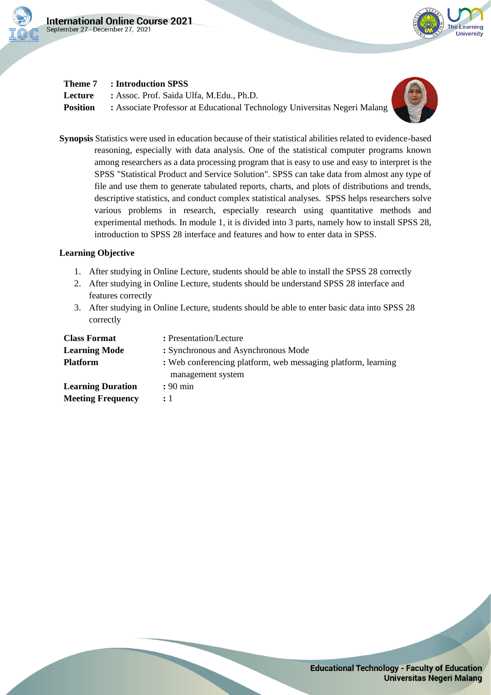



## **Theme 7 : Introduction SPSS**

**Lecture :** Assoc. Prof. Saida Ulfa, M.Edu., Ph.D. **Position** : Associate Professor at Educational Technology Universitas Negeri Malang



**Synopsis** Statistics were used in education because of their statistical abilities related to evidence-based reasoning, especially with data analysis. One of the statistical computer programs known among researchers as a data processing program that is easy to use and easy to interpret is the SPSS "Statistical Product and Service Solution". SPSS can take data from almost any type of file and use them to generate tabulated reports, charts, and plots of distributions and trends, descriptive statistics, and conduct complex statistical analyses. SPSS helps researchers solve various problems in research, especially research using quantitative methods and experimental methods. In module 1, it is divided into 3 parts, namely how to install SPSS 28, introduction to SPSS 28 interface and features and how to enter data in SPSS.

- 1. After studying in Online Lecture, students should be able to install the SPSS 28 correctly
- 2. After studying in Online Lecture, students should be understand SPSS 28 interface and features correctly
- 3. After studying in Online Lecture, students should be able to enter basic data into SPSS 28 correctly

| <b>Class Format</b>      | : Presentation/Lecture                                                             |
|--------------------------|------------------------------------------------------------------------------------|
| <b>Learning Mode</b>     | : Synchronous and Asynchronous Mode                                                |
| <b>Platform</b>          | : Web conferencing platform, web messaging platform, learning<br>management system |
| <b>Learning Duration</b> | $: 90 \text{ min}$                                                                 |
| <b>Meeting Frequency</b> | $\mathbf{1}$                                                                       |

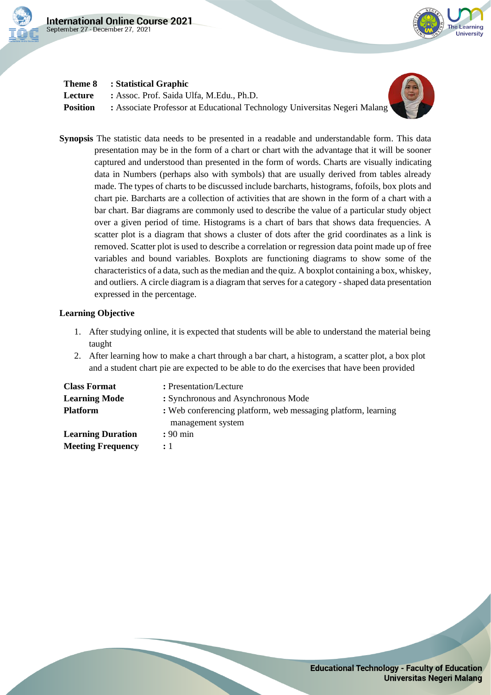



## **Theme 8 : Statistical Graphic**

**Lecture :** Assoc. Prof. Saida Ulfa, M.Edu., Ph.D. **Position** : Associate Professor at Educational Technology Universitas Negeri Malang



**Synopsis** The statistic data needs to be presented in a readable and understandable form. This data presentation may be in the form of a chart or chart with the advantage that it will be sooner captured and understood than presented in the form of words. Charts are visually indicating data in Numbers (perhaps also with symbols) that are usually derived from tables already made. The types of charts to be discussed include barcharts, histograms, fofoils, box plots and chart pie. Barcharts are a collection of activities that are shown in the form of a chart with a bar chart. Bar diagrams are commonly used to describe the value of a particular study object over a given period of time. Histograms is a chart of bars that shows data frequencies. A scatter plot is a diagram that shows a cluster of dots after the grid coordinates as a link is removed. Scatter plot is used to describe a correlation or regression data point made up of free variables and bound variables. Boxplots are functioning diagrams to show some of the characteristics of a data, such as the median and the quiz. A boxplot containing a box, whiskey, and outliers. A circle diagram is a diagram that serves for a category -shaped data presentation expressed in the percentage.

- 1. After studying online, it is expected that students will be able to understand the material being taught
- 2. After learning how to make a chart through a bar chart, a histogram, a scatter plot, a box plot and a student chart pie are expected to be able to do the exercises that have been provided

| <b>Class Format</b>      | : Presentation/Lecture                                                             |
|--------------------------|------------------------------------------------------------------------------------|
| <b>Learning Mode</b>     | : Synchronous and Asynchronous Mode                                                |
| <b>Platform</b>          | : Web conferencing platform, web messaging platform, learning<br>management system |
| <b>Learning Duration</b> | $: 90 \text{ min}$                                                                 |
| <b>Meeting Frequency</b> | $\div 1$                                                                           |

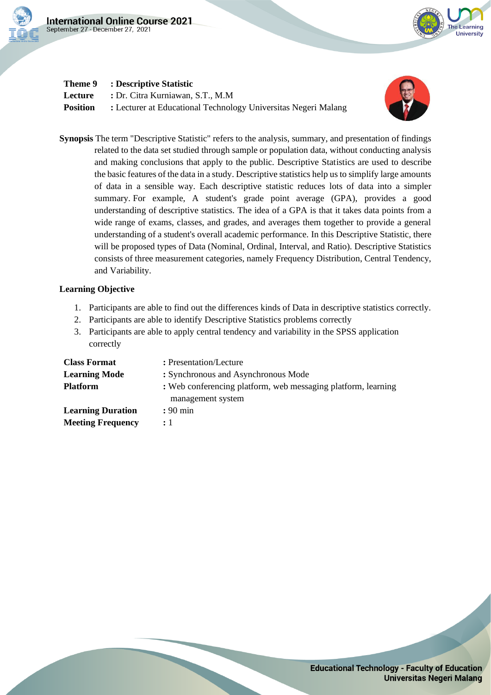



# **Theme 9 : Descriptive Statistic**

**Lecture :** Dr. Citra Kurniawan, S.T., M.M **Position** : Lecturer at Educational Technology Universitas Negeri Malang



**Synopsis** The term "Descriptive Statistic" refers to the analysis, summary, and presentation of findings related to the data set studied through sample or population data, without conducting analysis and making conclusions that apply to the public. Descriptive Statistics are used to describe the basic features of the data in a study. Descriptive statistics help us to simplify large amounts of data in a sensible way. Each descriptive statistic reduces lots of data into a simpler summary. For example, A student's grade point average (GPA), provides a good understanding of descriptive statistics. The idea of a GPA is that it takes data points from a wide range of exams, classes, and grades, and averages them together to provide a general understanding of a student's overall academic performance. In this Descriptive Statistic, there will be proposed types of Data (Nominal, Ordinal, Interval, and Ratio). Descriptive Statistics consists of three measurement categories, namely Frequency Distribution, Central Tendency, and Variability.

- 1. Participants are able to find out the differences kinds of Data in descriptive statistics correctly.
- 2. Participants are able to identify Descriptive Statistics problems correctly
- 3. Participants are able to apply central tendency and variability in the SPSS application correctly

| <b>Class Format</b>      | : Presentation/Lecture                                                             |
|--------------------------|------------------------------------------------------------------------------------|
| <b>Learning Mode</b>     | : Synchronous and Asynchronous Mode                                                |
| <b>Platform</b>          | : Web conferencing platform, web messaging platform, learning<br>management system |
| <b>Learning Duration</b> | $: 90 \text{ min}$                                                                 |
| <b>Meeting Frequency</b> | $\cdot$ 1                                                                          |

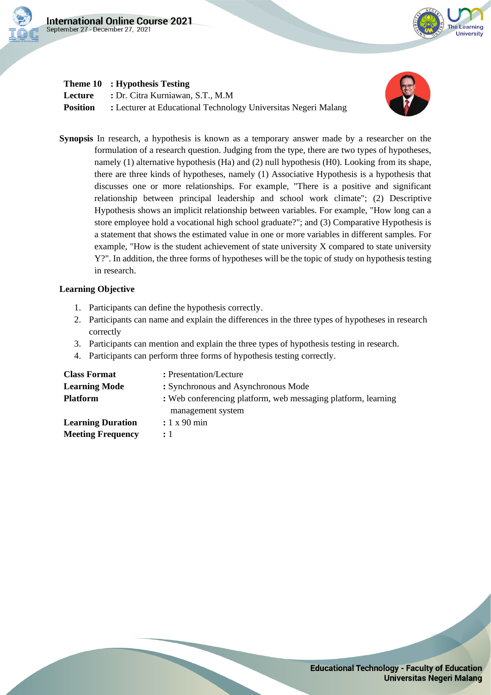

## **Theme 10 : Hypothesis Testing**

**Lecture :** Dr. Citra Kurniawan, S.T., M.M **Position** : Lecturer at Educational Technology Universitas Negeri Malang



le Learning University

**Synopsis** In research, a hypothesis is known as a temporary answer made by a researcher on the formulation of a research question. Judging from the type, there are two types of hypotheses, namely (1) alternative hypothesis (Ha) and (2) null hypothesis (H0). Looking from its shape, there are three kinds of hypotheses, namely (1) Associative Hypothesis is a hypothesis that discusses one or more relationships. For example, "There is a positive and significant relationship between principal leadership and school work climate"; (2) Descriptive Hypothesis shows an implicit relationship between variables. For example, "How long can a store employee hold a vocational high school graduate?"; and (3) Comparative Hypothesis is a statement that shows the estimated value in one or more variables in different samples. For example, "How is the student achievement of state university X compared to state university Y?". In addition, the three forms of hypotheses will be the topic of study on hypothesis testing in research.

- 1. Participants can define the hypothesis correctly.
- 2. Participants can name and explain the differences in the three types of hypotheses in research correctly
- 3. Participants can mention and explain the three types of hypothesis testing in research.
- 4. Participants can perform three forms of hypothesis testing correctly.

| <b>Class Format</b>      | : Presentation/Lecture                                                             |
|--------------------------|------------------------------------------------------------------------------------|
| <b>Learning Mode</b>     | : Synchronous and Asynchronous Mode                                                |
| <b>Platform</b>          | : Web conferencing platform, web messaging platform, learning<br>management system |
| <b>Learning Duration</b> | : 1 x 90 min                                                                       |
| <b>Meeting Frequency</b> | : 1                                                                                |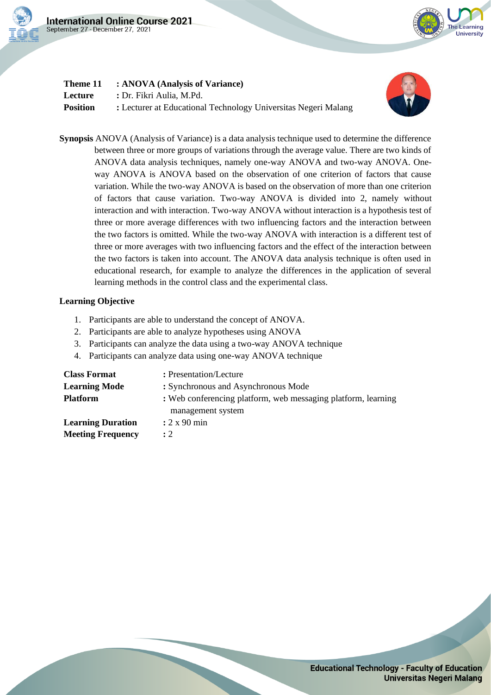



| Theme 11        | : ANOVA (Analysis of Variance)                                 |
|-----------------|----------------------------------------------------------------|
| Lecture         | : Dr. Fikri Aulia, M.Pd.                                       |
| <b>Position</b> | : Lecturer at Educational Technology Universitas Negeri Malang |



**Synopsis** ANOVA (Analysis of Variance) is a data analysis technique used to determine the difference between three or more groups of variations through the average value. There are two kinds of ANOVA data analysis techniques, namely one-way ANOVA and two-way ANOVA. Oneway ANOVA is ANOVA based on the observation of one criterion of factors that cause variation. While the two-way ANOVA is based on the observation of more than one criterion of factors that cause variation. Two-way ANOVA is divided into 2, namely without interaction and with interaction. Two-way ANOVA without interaction is a hypothesis test of three or more average differences with two influencing factors and the interaction between the two factors is omitted. While the two-way ANOVA with interaction is a different test of three or more averages with two influencing factors and the effect of the interaction between the two factors is taken into account. The ANOVA data analysis technique is often used in educational research, for example to analyze the differences in the application of several learning methods in the control class and the experimental class.

### **Learning Objective**

- 1. Participants are able to understand the concept of ANOVA.
- 2. Participants are able to analyze hypotheses using ANOVA
- 3. Participants can analyze the data using a two-way ANOVA technique
- 4. Participants can analyze data using one-way ANOVA technique

| <b>Class Format</b>      | : Presentation/Lecture                                        |
|--------------------------|---------------------------------------------------------------|
| <b>Learning Mode</b>     | : Synchronous and Asynchronous Mode                           |
| <b>Platform</b>          | : Web conferencing platform, web messaging platform, learning |
|                          | management system                                             |
| <b>Learning Duration</b> | $: 2 \times 90$ min                                           |
| <b>Meeting Frequency</b> | $\cdot$ 2                                                     |

**Educational Technology - Faculty of Education Universitas Negeri Malang**